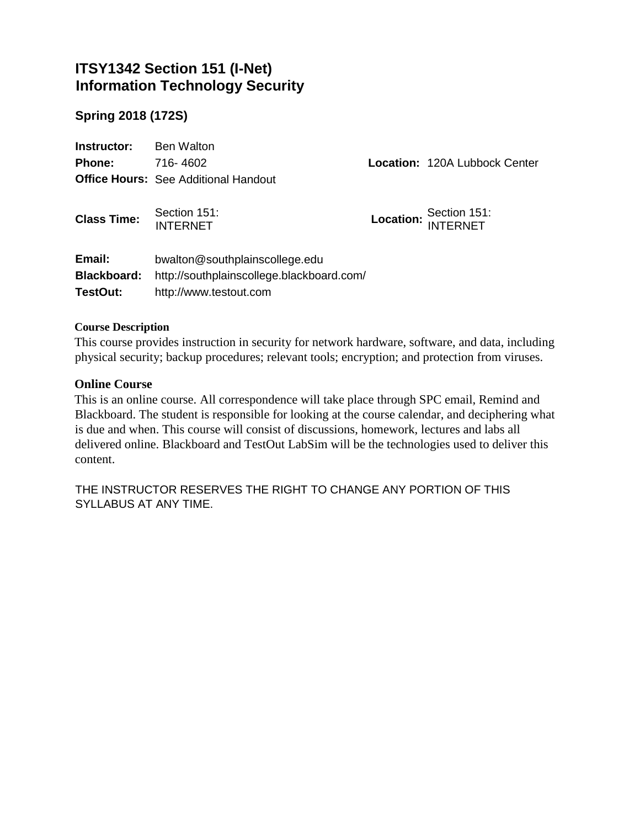## **ITSY1342 Section 151 (I-Net) Information Technology Security**

## **Spring 2018 (172S)**

| Instructor:                              | <b>Ben Walton</b>                                                                                     |                                      |
|------------------------------------------|-------------------------------------------------------------------------------------------------------|--------------------------------------|
| <b>Phone:</b>                            | 716-4602                                                                                              | <b>Location: 120A Lubbock Center</b> |
|                                          | <b>Office Hours: See Additional Handout</b>                                                           |                                      |
| <b>Class Time:</b>                       | Section 151:<br><b>INTERNET</b>                                                                       | Location: Section 151:<br>INTERNET   |
| Email:<br><b>Blackboard:</b><br>TestOut: | bwalton@southplainscollege.edu<br>http://southplainscollege.blackboard.com/<br>http://www.testout.com |                                      |

#### **Course Description**

This course provides instruction in security for network hardware, software, and data, including physical security; backup procedures; relevant tools; encryption; and protection from viruses.

#### **Online Course**

This is an online course. All correspondence will take place through SPC email, Remind and Blackboard. The student is responsible for looking at the course calendar, and deciphering what is due and when. This course will consist of discussions, homework, lectures and labs all delivered online. Blackboard and TestOut LabSim will be the technologies used to deliver this content.

THE INSTRUCTOR RESERVES THE RIGHT TO CHANGE ANY PORTION OF THIS SYLLABUS AT ANY TIME.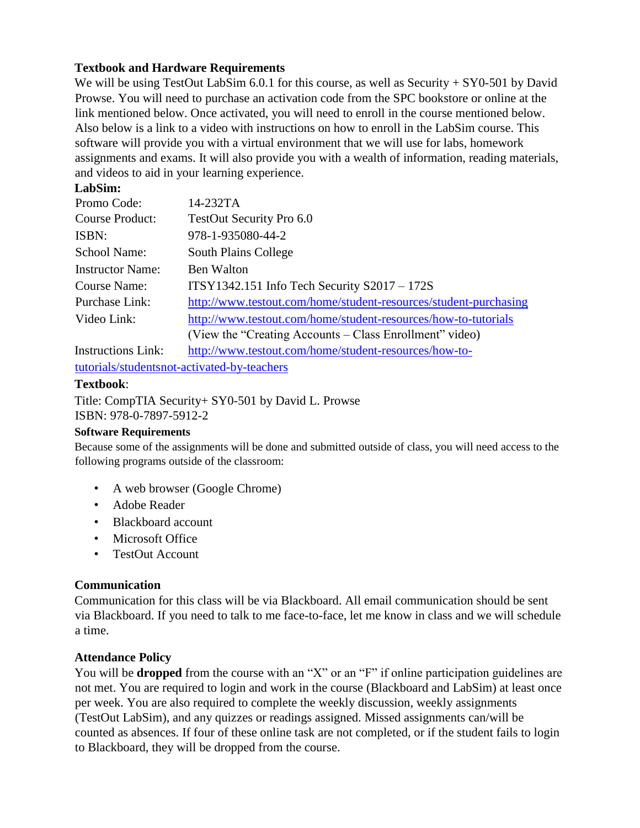### **Textbook and Hardware Requirements**

We will be using TestOut LabSim 6.0.1 for this course, as well as Security + SY0-501 by David Prowse. You will need to purchase an activation code from the SPC bookstore or online at the link mentioned below. Once activated, you will need to enroll in the course mentioned below. Also below is a link to a video with instructions on how to enroll in the LabSim course. This software will provide you with a virtual environment that we will use for labs, homework assignments and exams. It will also provide you with a wealth of information, reading materials, and videos to aid in your learning experience.

## **LabSim:**

| Promo Code:               | 14-232TA                                                         |
|---------------------------|------------------------------------------------------------------|
| <b>Course Product:</b>    | TestOut Security Pro 6.0                                         |
| ISBN:                     | 978-1-935080-44-2                                                |
| <b>School Name:</b>       | <b>South Plains College</b>                                      |
| <b>Instructor Name:</b>   | <b>Ben Walton</b>                                                |
| Course Name:              | $ITSY1342.151$ Info Tech Security $S2017 - 172S$                 |
| <b>Purchase Link:</b>     | http://www.testout.com/home/student-resources/student-purchasing |
| Video Link:               | http://www.testout.com/home/student-resources/how-to-tutorials   |
|                           | (View the "Creating Accounts – Class Enrollment" video)          |
| <b>Instructions Link:</b> | http://www.testout.com/home/student-resources/how-to-            |

[tutorials/studentsnot-activated-by-teachers](http://www.testout.com/home/student-resources/how-to-tutorials/students-not-activated-by-teachers)

## **Textbook**:

Title: CompTIA Security+ SY0-501 by David L. Prowse ISBN: 978-0-7897-5912-2

### **Software Requirements**

Because some of the assignments will be done and submitted outside of class, you will need access to the following programs outside of the classroom:

- A web browser (Google Chrome)
- Adobe Reader
- Blackboard account
- Microsoft Office
- TestOut Account

### **Communication**

Communication for this class will be via Blackboard. All email communication should be sent via Blackboard. If you need to talk to me face-to-face, let me know in class and we will schedule a time.

### **Attendance Policy**

You will be **dropped** from the course with an "X" or an "F" if online participation guidelines are not met. You are required to login and work in the course (Blackboard and LabSim) at least once per week. You are also required to complete the weekly discussion, weekly assignments (TestOut LabSim), and any quizzes or readings assigned. Missed assignments can/will be counted as absences. If four of these online task are not completed, or if the student fails to login to Blackboard, they will be dropped from the course.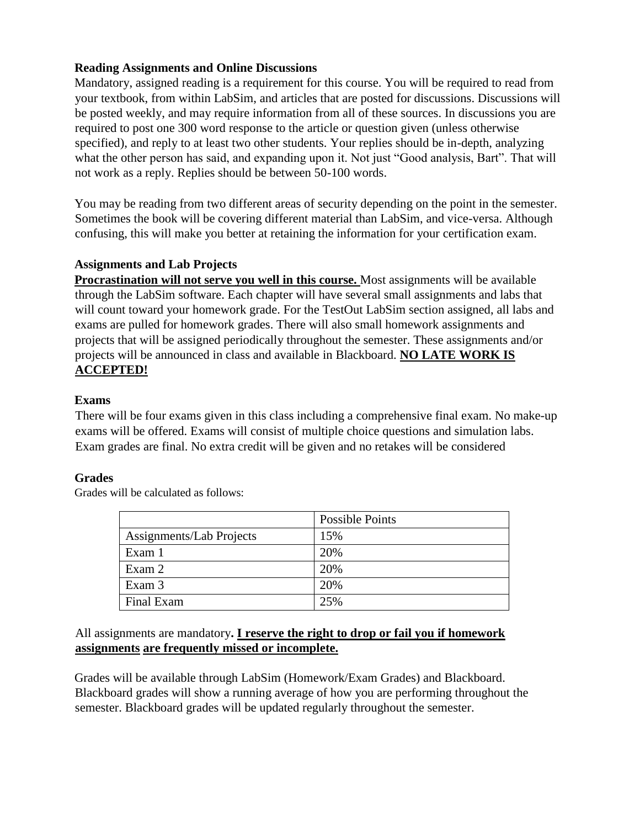### **Reading Assignments and Online Discussions**

Mandatory, assigned reading is a requirement for this course. You will be required to read from your textbook, from within LabSim, and articles that are posted for discussions. Discussions will be posted weekly, and may require information from all of these sources. In discussions you are required to post one 300 word response to the article or question given (unless otherwise specified), and reply to at least two other students. Your replies should be in-depth, analyzing what the other person has said, and expanding upon it. Not just "Good analysis, Bart". That will not work as a reply. Replies should be between 50-100 words.

You may be reading from two different areas of security depending on the point in the semester. Sometimes the book will be covering different material than LabSim, and vice-versa. Although confusing, this will make you better at retaining the information for your certification exam.

#### **Assignments and Lab Projects**

**Procrastination will not serve you well in this course.** Most assignments will be available through the LabSim software. Each chapter will have several small assignments and labs that will count toward your homework grade. For the TestOut LabSim section assigned, all labs and exams are pulled for homework grades. There will also small homework assignments and projects that will be assigned periodically throughout the semester. These assignments and/or projects will be announced in class and available in Blackboard. **NO LATE WORK IS ACCEPTED!**

#### **Exams**

There will be four exams given in this class including a comprehensive final exam. No make-up exams will be offered. Exams will consist of multiple choice questions and simulation labs. Exam grades are final. No extra credit will be given and no retakes will be considered

#### **Grades**

Grades will be calculated as follows:

|                          | <b>Possible Points</b> |
|--------------------------|------------------------|
| Assignments/Lab Projects | 15%                    |
| Exam 1                   | 20%                    |
| Exam 2                   | 20%                    |
| Exam 3                   | 20%                    |
| Final Exam               | 25%                    |

### All assignments are mandatory**. I reserve the right to drop or fail you if homework assignments are frequently missed or incomplete.**

Grades will be available through LabSim (Homework/Exam Grades) and Blackboard. Blackboard grades will show a running average of how you are performing throughout the semester. Blackboard grades will be updated regularly throughout the semester.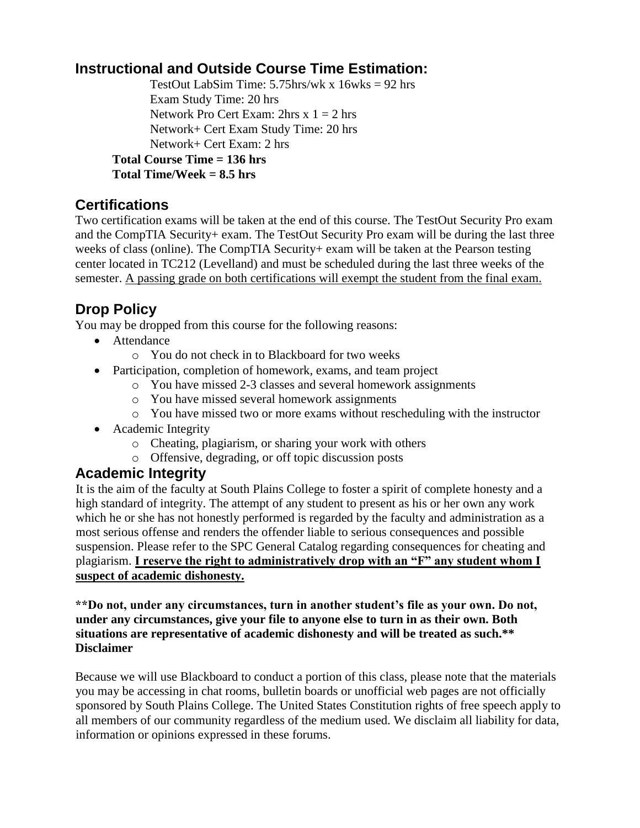## **Instructional and Outside Course Time Estimation:**

TestOut LabSim Time:  $5.75$ hrs/wk x  $16$ wks = 92 hrs Exam Study Time: 20 hrs Network Pro Cert Exam:  $2<sup>h</sup>$ rs x 1 = 2 hrs Network+ Cert Exam Study Time: 20 hrs Network+ Cert Exam: 2 hrs **Total Course Time = 136 hrs Total Time/Week = 8.5 hrs**

## **Certifications**

Two certification exams will be taken at the end of this course. The TestOut Security Pro exam and the CompTIA Security+ exam. The TestOut Security Pro exam will be during the last three weeks of class (online). The CompTIA Security+ exam will be taken at the Pearson testing center located in TC212 (Levelland) and must be scheduled during the last three weeks of the semester. A passing grade on both certifications will exempt the student from the final exam.

# **Drop Policy**

You may be dropped from this course for the following reasons:

- Attendance
	- o You do not check in to Blackboard for two weeks
- Participation, completion of homework, exams, and team project
	- o You have missed 2-3 classes and several homework assignments
	- o You have missed several homework assignments
	- o You have missed two or more exams without rescheduling with the instructor
- Academic Integrity
	- o Cheating, plagiarism, or sharing your work with others
	- o Offensive, degrading, or off topic discussion posts

## **Academic Integrity**

It is the aim of the faculty at South Plains College to foster a spirit of complete honesty and a high standard of integrity. The attempt of any student to present as his or her own any work which he or she has not honestly performed is regarded by the faculty and administration as a most serious offense and renders the offender liable to serious consequences and possible suspension. Please refer to the SPC General Catalog regarding consequences for cheating and plagiarism. **I reserve the right to administratively drop with an "F" any student whom I suspect of academic dishonesty.**

**\*\*Do not, under any circumstances, turn in another student's file as your own. Do not, under any circumstances, give your file to anyone else to turn in as their own. Both situations are representative of academic dishonesty and will be treated as such.\*\* Disclaimer** 

Because we will use Blackboard to conduct a portion of this class, please note that the materials you may be accessing in chat rooms, bulletin boards or unofficial web pages are not officially sponsored by South Plains College. The United States Constitution rights of free speech apply to all members of our community regardless of the medium used. We disclaim all liability for data, information or opinions expressed in these forums.